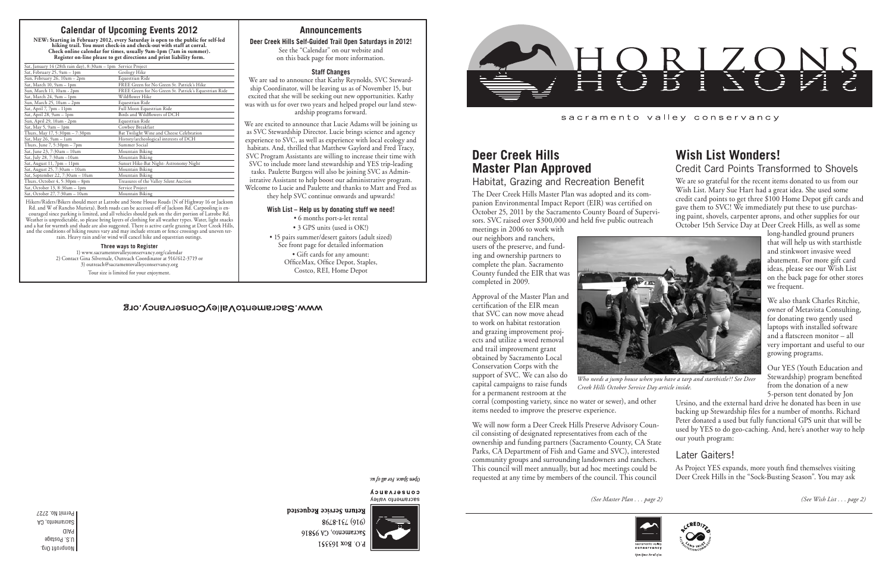Nonprofit Org. U.S. Postage PAID Sacramento, CA Permit No. 2727 *(See Master Plan . . . page 2) (See Wish List . . . page 2)*



Open Space. For all of i

Return Service Requested

## **Wish List Wonders!** Credit Card Points Transformed to Shovels

long-handled ground pruners that will help us with starthistle and stinkwort invasive weed abatement. For more gift card ideas, please see our Wish List on the back page for other stores we frequent.

We are so grateful for the recent items donated to us from our Wish List. Mary Sue Hart had a great idea. She used some credit card points to get three \$100 Home Depot gift cards and gave them to SVC! We immediately put these to use purchasing paint, shovels, carpenter aprons, and other supplies for our October 15th Service Day at Deer Creek Hills, as well as some

> We also thank Charles Ritchie, owner of Metavista Consulting, for donating two gently used laptops with installed software and a flatscreen monitor – all very important and useful to our growing programs.

Our YES (Youth Education and Stewardship) program benefited from the donation of a new 5-person tent donated by Jon

Ursino, and the external hard drive he donated has been in use backing up Stewardship files for a number of months. Richard Peter donated a used but fully functional GPS unit that will be used by YES to do geo-caching. And, here's another way to help our youth program:

## Later Gaiters!

As Project YES expands, more youth find themselves visiting Deer Creek Hills in the "Sock-Busting Season". You may ask





# **Deer Creek Hills Master Plan Approved**

# Habitat, Grazing and Recreation Benefit

The Deer Creek Hills Master Plan was adopted and its companion Environmental Impact Report (EIR) was certified on October 25, 2011 by the Sacramento County Board of Supervisors. SVC raised over \$300,000 and held five public outreach

meetings in 2006 to work with our neighbors and ranchers, users of the preserve, and funding and ownership partners to complete the plan. Sacramento County funded the EIR that was completed in 2009.

Approval of the Master Plan and certification of the EIR mean that SVC can now move ahead to work on habitat restoration and grazing improvement projects and utilize a weed removal and trail improvement grant obtained by Sacramento Local Conservation Corps with the support of SVC. We can also do capital campaigns to raise funds for a permanent restroom at the

corral (composting variety, since no water or sewer), and other items needed to improve the preserve experience.

We will now form a Deer Creek Hills Preserve Advisory Council consisting of designated representatives from each of the ownership and funding partners (Sacramento County, CA State Parks, CA Department of Fish and Game and SVC), interested community groups and surrounding landowners and ranchers. This council will meet annually, but ad hoc meetings could be requested at any time by members of the council. This council



*Who needs a jump house when you have a tarp and starthistle?! See Deer Creek Hills October Service Day article inside.*

## **Announcements**

### **Deer Creek Hills Self-Guided Trail Open Saturdays in 2012!**

See the "Calendar" on our website and on this back page for more information.

#### **Staff Changes**

We are sad to announce that Kathy Reynolds, SVC Stewardship Coordinator, will be leaving us as of November 15, but excited that she will be seeking out new opportunities. Kathy was with us for over two years and helped propel our land stewardship programs forward.

We are excited to announce that Lucie Adams will be joining us as SVC Stewardship Director. Lucie brings science and agency experience to SVC, as well as experience with local ecology and habitats. And, thrilled that Matthew Gaylord and Fred Tracy, SVC Program Assistants are willing to increase their time with SVC to include more land stewardship and YES trip-leading tasks. Paulette Burgess will also be joining SVC as Administrative Assistant to help boost our administrative program. Welcome to Lucie and Paulette and thanks to Matt and Fred as

they help SVC continue onwards and upwards!

### **Wish List – Help us by donating stuff we need!**

- 6 months port-a-let rental
- 3 GPS units (used is OK!)
- 15 pairs summer/desert gaitors (adult sized) See front page for detailed information

• Gift cards for any amount:

OfficeMax, Office Depot, Staples,

Costco, REI, Home Depot

## WWW.SacramentoValleyConservancy.org

open Space For all by the

CONSELASUCA sacramento valley



 $86/8 - 15/916$ Sacramento, CA 95816 P.O. Box 163351



sacramento valley conservancy

## **Calendar of Upcoming Events 2012**

**NEW: Starting in February 2012, every Saturday is open to the public for self-led hiking trail. You must check-in and check-out with staff at corral. Check online calendar for times, usually 9am-1pm (7am in summer). Register on-line please to get directions and print liability form.**

| Sat, January 14 (28th rain day), 8:30am - 1pm Service Project |                                                       |  |
|---------------------------------------------------------------|-------------------------------------------------------|--|
| Sat, February 25, 9am – 1pm                                   | Geology Hike                                          |  |
| Sun, February 26, 10am – 2pm                                  | Equestrian Ride                                       |  |
| Sat, March 10, 9am - 1pm                                      | FREE Green for No Green St. Patrick's Hike            |  |
| Sun, March 11, 10am - 2pm                                     | FREE Green for No Green St. Patrick's Equestrian Ride |  |
| Sat, March 24, 9am – 1pm                                      | Wildflower Hike                                       |  |
| Sun, March 25, 10am - 2pm                                     | Equestrian Ride                                       |  |
| Sat, April 7, 7pm - 11pm                                      | Full Moon Equestrian Ride                             |  |
| Sat, April 28, 9am - 1pm                                      | Birds and Wildflowers of DCH                          |  |
| Sun, April 29, 10am - 2pm                                     | Equestrian Ride                                       |  |
| Sat, May 5, 9am - 1pm                                         | Cowboy Breakfast                                      |  |
| Thurs, May 17, 5:30pm – 7:30pm                                | Bat Twilight Wine and Cheese Celebration              |  |
| Sat, May 26, 9am – 1am                                        | History/archeological interests of DCH                |  |
| Thurs, June 7, 5:30pm – 7pm                                   | Summer Social                                         |  |
| Sat, June 23, 7:30am - 10am                                   | Mountain Biking                                       |  |
| Sat, July 28, 7:30am –10am                                    | Mountain Biking                                       |  |
| Sat, August 11, 7pm - 11pm                                    | Sunset Hike-Bat Night- Astronomy Night                |  |
| Sat, August 25, 7:30am - 10am                                 | Mountain Biking                                       |  |
| Sat, September 22, 7:30am - 10am                              | Mountain Biking                                       |  |
| Thurs, October 4, 5:30pm – 8pm                                | Treasures of the Valley Silent Auction                |  |
| Sat, October 13, 8:30am - 1pm                                 | Service Project                                       |  |
| Sat, October 27, 7:30am - 10am                                | Mountain Biking                                       |  |
|                                                               |                                                       |  |

Hikers/Riders/Bikers should meet at Latrobe and Stone House Roads (N of Highway 16 or Jackson Rd. and W of Rancho Murieta). Both roads can be accessed off of Jackson Rd. Carpooling is encouraged since parking is limited, and all vehicles should park on the dirt portion of Latrobe Rd. Weather is unpredictable, so please bring layers of clothing for all weather types. Water, light snacks and a hat for warmth and shade are also suggested. There is active cattle grazing at Deer Creek Hills, and the conditions of hiking routes vary and may include stream or fence crossings and uneven terrain. Heavy rain and/or wind will cancel hike and equestrian outings.

#### **Three ways to Register**

1) www.sacramentovalleyconservancy.org/calendar 2) Contact Gina Silvernale, Outreach Coordinator at 916/612-3719 or 3) outreach@sacramentovalleyconservancy.org

Tour size is limited for your enjoyment.